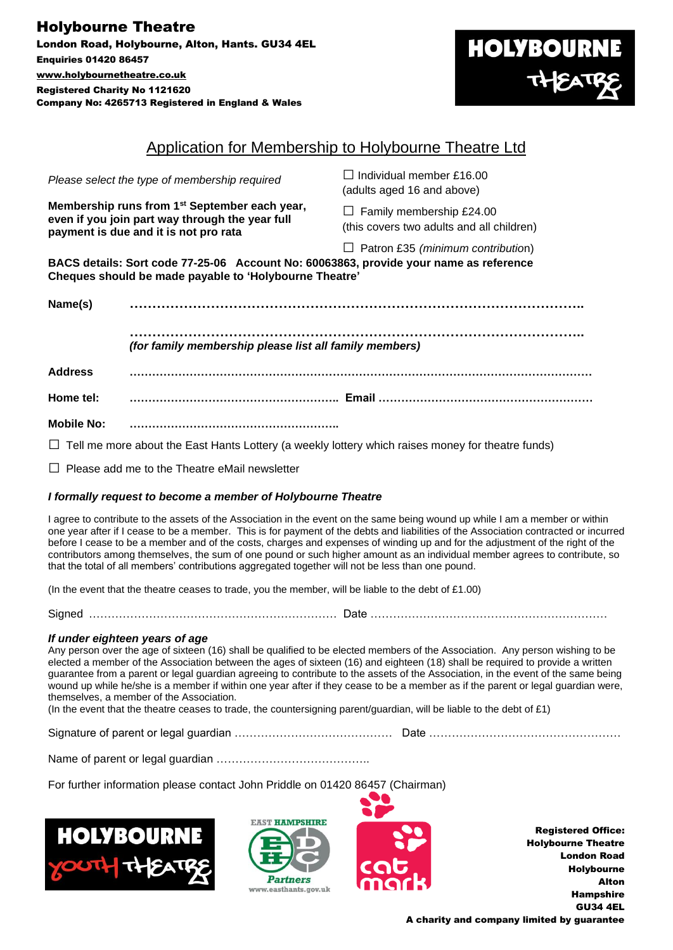# Holybourne Theatre

London Road, Holybourne, Alton, Hants. GU34 4EL Enquiries 01420 86457 [www.holybournetheatre.co.uk](http://www.holybournetheatre.co.uk/) Registered Charity No 1121620 Company No: 4265713 Registered in England & Wales



### Application for Membership to Holybourne Theatre Ltd

| Please select the type of membership required                                                                                                                                        |                                                        | │ │ Individual member £16.00<br>(adults aged 16 and above)                   |  |  |
|--------------------------------------------------------------------------------------------------------------------------------------------------------------------------------------|--------------------------------------------------------|------------------------------------------------------------------------------|--|--|
| Membership runs from 1 <sup>st</sup> September each year,<br>even if you join part way through the year full<br>payment is due and it is not pro rata                                |                                                        | $\Box$ Family membership £24.00<br>(this covers two adults and all children) |  |  |
| Patron £35 (minimum contribution)<br>BACS details: Sort code 77-25-06 Account No: 60063863, provide your name as reference<br>Cheques should be made payable to 'Holybourne Theatre' |                                                        |                                                                              |  |  |
| Name(s)                                                                                                                                                                              |                                                        |                                                                              |  |  |
|                                                                                                                                                                                      | (for family membership please list all family members) |                                                                              |  |  |
| <b>Address</b>                                                                                                                                                                       |                                                        |                                                                              |  |  |
| Home tel:                                                                                                                                                                            |                                                        |                                                                              |  |  |
| <b>Mobile No:</b>                                                                                                                                                                    |                                                        |                                                                              |  |  |

 $\Box$  Tell me more about the East Hants Lottery (a weekly lottery which raises money for theatre funds)

 $\square$  Please add me to the Theatre eMail newsletter

### *I formally request to become a member of Holybourne Theatre*

I agree to contribute to the assets of the Association in the event on the same being wound up while I am a member or within one year after if I cease to be a member. This is for payment of the debts and liabilities of the Association contracted or incurred before I cease to be a member and of the costs, charges and expenses of winding up and for the adjustment of the right of the contributors among themselves, the sum of one pound or such higher amount as an individual member agrees to contribute, so that the total of all members' contributions aggregated together will not be less than one pound.

(In the event that the theatre ceases to trade, you the member, will be liable to the debt of  $£1.00$ )

Signed ………………………………………………………… Date ………………………………………………………

### *If under eighteen years of age*

Any person over the age of sixteen (16) shall be qualified to be elected members of the Association. Any person wishing to be elected a member of the Association between the ages of sixteen (16) and eighteen (18) shall be required to provide a written guarantee from a parent or legal guardian agreeing to contribute to the assets of the Association, in the event of the same being wound up while he/she is a member if within one year after if they cease to be a member as if the parent or legal guardian were, themselves, a member of the Association.

(In the event that the theatre ceases to trade, the countersigning parent/guardian, will be liable to the debt of £1)

Signature of parent or legal guardian …………………………………… Date ……………………………………………

Name of parent or legal guardian …………………………………..

For further information please contact John Priddle on 01420 86457 (Chairman)







Registered Office: Holybourne Theatre London Road Holybourne Alton Hampshire GU34 4EL

A charity and company limited by guarantee